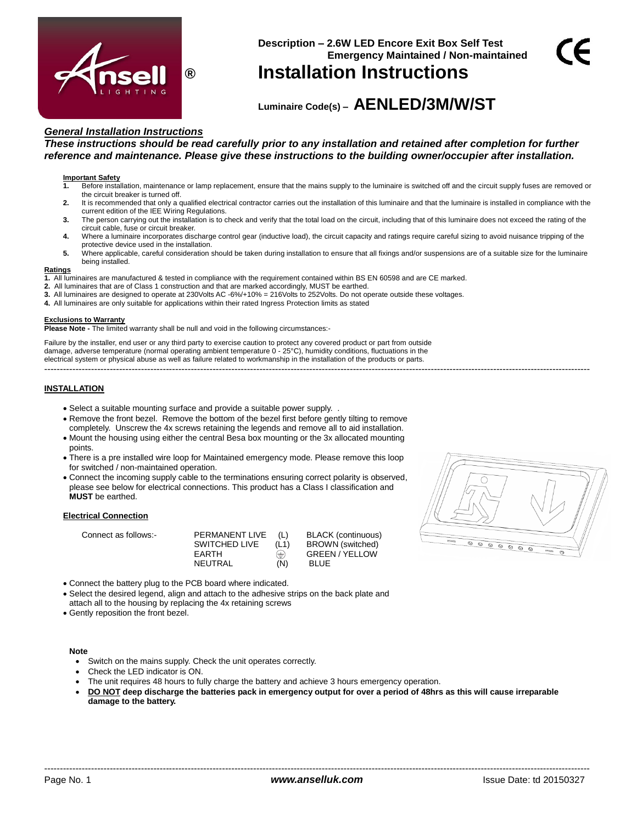

# **Description – 2.6W LED Encore Exit Box Self Test Emergency Maintained / Non-maintained ® Installation Instructions**

# **Luminaire Code(s) – AENLED/3M/W/ST**

## *General Installation Instructions*

*These instructions should be read carefully prior to any installation and retained after completion for further reference and maintenance. Please give these instructions to the building owner/occupier after installation.*

#### **Important Safety**

- **1.** Before installation, maintenance or lamp replacement, ensure that the mains supply to the luminaire is switched off and the circuit supply fuses are removed or the circuit breaker is turned off.
- **2.** It is recommended that only a qualified electrical contractor carries out the installation of this luminaire and that the luminaire is installed in compliance with the current edition of the IEE Wiring Regulations.
- **3.** The person carrying out the installation is to check and verify that the total load on the circuit, including that of this luminaire does not exceed the rating of the circuit cable, fuse or circuit breaker.
- **4.** Where a luminaire incorporates discharge control gear (inductive load), the circuit capacity and ratings require careful sizing to avoid nuisance tripping of the protective device used in the installation.
- **5.** Where applicable, careful consideration should be taken during installation to ensure that all fixings and/or suspensions are of a suitable size for the luminaire being installed.

#### **Ratings**

- **1.** All luminaires are manufactured & tested in compliance with the requirement contained within BS EN 60598 and are CE marked.
- **2.** All luminaires that are of Class 1 construction and that are marked accordingly, MUST be earthed.
- **3.** All luminaires are designed to operate at 230Volts AC -6%/+10% = 216Volts to 252Volts. Do not operate outside these voltages.
- **4.** All luminaires are only suitable for applications within their rated Ingress Protection limits as stated

#### **Exclusions to Warranty**

**Please Note -** The limited warranty shall be null and void in the following circumstances:-

Failure by the installer, end user or any third party to exercise caution to protect any covered product or part from outside damage, adverse temperature (normal operating ambient temperature 0 - 25°C), humidity conditions, fluctuations in the electrical system or physical abuse as well as failure related to workmanship in the installation of the products or parts. -------------------------------------------------------------------------------------------------------------------------------------------------------------------------------

#### **INSTALLATION**

- Select a suitable mounting surface and provide a suitable power supply. .
- Remove the front bezel. Remove the bottom of the bezel first before gently tilting to remove completely. Unscrew the 4x screws retaining the legends and remove all to aid installation.
- Mount the housing using either the central Besa box mounting or the 3x allocated mounting points.
- There is a pre installed wire loop for Maintained emergency mode. Please remove this loop for switched / non-maintained operation.
- Connect the incoming supply cable to the terminations ensuring correct polarity is observed, please see below for electrical connections. This product has a Class I classification and **MUST** be earthed.

#### **Electrical Connection**

| Connect as follows:- | PERMANENT LIVE | (L)  | <b>BLACK</b> (continuous) |
|----------------------|----------------|------|---------------------------|
|                      | SWITCHED LIVE  | (L1) | BROWN (switched)          |
|                      | <b>FARTH</b>   | ⊜    | <b>GREEN/YELLOW</b>       |
|                      | NEUTRAL        | (N)  | <b>BLUE</b>               |

/ YELLOW

- Connect the battery plug to the PCB board where indicated.
- Select the desired legend, align and attach to the adhesive strips on the back plate and
- attach all to the housing by replacing the 4x retaining screws
- Gently reposition the front bezel.

#### **Note**

- Switch on the mains supply. Check the unit operates correctly.
- Check the LED indicator is ON.
- The unit requires 48 hours to fully charge the battery and achieve 3 hours emergency operation.
- **DO NOT deep discharge the batteries pack in emergency output for over a period of 48hrs as this will cause irreparable damage to the battery.**

 $\begin{array}{c|c} \circ & \circ & \circ & \circ \end{array}$